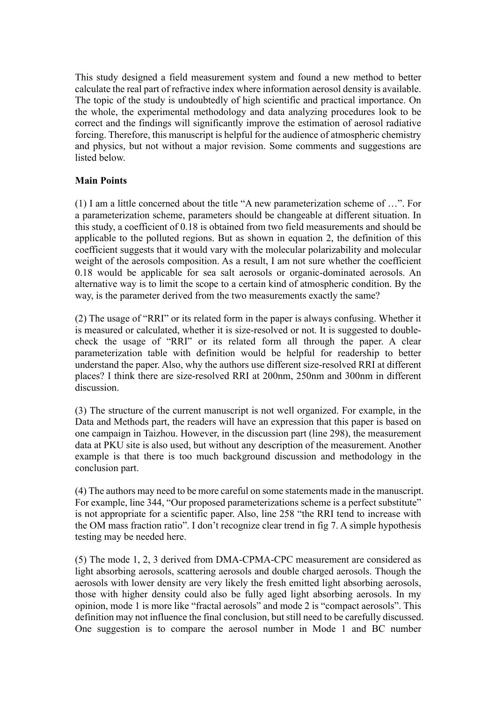This study designed a field measurement system and found a new method to better calculate the real part of refractive index where information aerosol density is available. The topic of the study is undoubtedly of high scientific and practical importance. On the whole, the experimental methodology and data analyzing procedures look to be correct and the findings will significantly improve the estimation of aerosol radiative forcing. Therefore, this manuscript is helpful for the audience of atmospheric chemistry and physics, but not without a major revision. Some comments and suggestions are listed below.

## **Main Points**

(1) I am a little concerned about the title "A new parameterization scheme of …". For a parameterization scheme, parameters should be changeable at different situation. In this study, a coefficient of 0.18 is obtained from two field measurements and should be applicable to the polluted regions. But as shown in equation 2, the definition of this coefficient suggests that it would vary with the molecular polarizability and molecular weight of the aerosols composition. As a result, I am not sure whether the coefficient 0.18 would be applicable for sea salt aerosols or organic-dominated aerosols. An alternative way is to limit the scope to a certain kind of atmospheric condition. By the way, is the parameter derived from the two measurements exactly the same?

(2) The usage of "RRI" or its related form in the paper is always confusing. Whether it is measured or calculated, whether it is size-resolved or not. It is suggested to doublecheck the usage of "RRI" or its related form all through the paper. A clear parameterization table with definition would be helpful for readership to better understand the paper. Also, why the authors use different size-resolved RRI at different places? I think there are size-resolved RRI at 200nm, 250nm and 300nm in different discussion.

(3) The structure of the current manuscript is not well organized. For example, in the Data and Methods part, the readers will have an expression that this paper is based on one campaign in Taizhou. However, in the discussion part (line 298), the measurement data at PKU site is also used, but without any description of the measurement. Another example is that there is too much background discussion and methodology in the conclusion part.

(4) The authors may need to be more careful on some statements made in the manuscript. For example, line 344, "Our proposed parameterizations scheme is a perfect substitute" is not appropriate for a scientific paper. Also, line 258 "the RRI tend to increase with the OM mass fraction ratio". I don't recognize clear trend in fig 7. A simple hypothesis testing may be needed here.

(5) The mode 1, 2, 3 derived from DMA-CPMA-CPC measurement are considered as light absorbing aerosols, scattering aerosols and double charged aerosols. Though the aerosols with lower density are very likely the fresh emitted light absorbing aerosols, those with higher density could also be fully aged light absorbing aerosols. In my opinion, mode 1 is more like "fractal aerosols" and mode 2 is "compact aerosols". This definition may not influence the final conclusion, but still need to be carefully discussed. One suggestion is to compare the aerosol number in Mode 1 and BC number